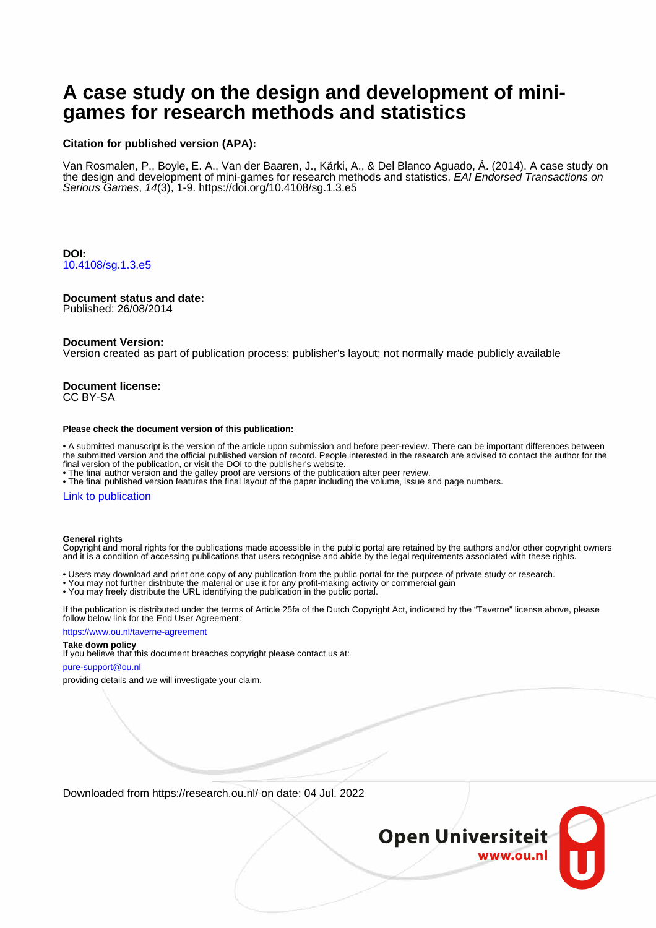# **A case study on the design and development of minigames for research methods and statistics**

### **Citation for published version (APA):**

Van Rosmalen, P., Boyle, E. A., Van der Baaren, J., Kärki, A., & Del Blanco Aguado, Á. (2014). A case study on the design and development of mini-games for research methods and statistics. EAI Endorsed Transactions on Serious Games, 14(3), 1-9.<https://doi.org/10.4108/sg.1.3.e5>

**DOI:** [10.4108/sg.1.3.e5](https://doi.org/10.4108/sg.1.3.e5)

### **Document status and date:**

Published: 26/08/2014

### **Document Version:**

Version created as part of publication process; publisher's layout; not normally made publicly available

#### **Document license:** CC BY-SA

#### **Please check the document version of this publication:**

• A submitted manuscript is the version of the article upon submission and before peer-review. There can be important differences between the submitted version and the official published version of record. People interested in the research are advised to contact the author for the final version of the publication, or visit the DOI to the publisher's website.

• The final author version and the galley proof are versions of the publication after peer review.

• The final published version features the final layout of the paper including the volume, issue and page numbers.

### [Link to publication](https://research.ou.nl/en/publications/a7e9a90b-2931-4210-8c34-96e4a77ed88c)

### **General rights**

Copyright and moral rights for the publications made accessible in the public portal are retained by the authors and/or other copyright owners and it is a condition of accessing publications that users recognise and abide by the legal requirements associated with these rights.

- Users may download and print one copy of any publication from the public portal for the purpose of private study or research.
- You may not further distribute the material or use it for any profit-making activity or commercial gain
- You may freely distribute the URL identifying the publication in the public portal.

If the publication is distributed under the terms of Article 25fa of the Dutch Copyright Act, indicated by the "Taverne" license above, please follow below link for the End User Agreement:

### https://www.ou.nl/taverne-agreement

## **Take down policy**

If you believe that this document breaches copyright please contact us at:

#### pure-support@ou.nl

providing details and we will investigate your claim.

Downloaded from https://research.ou.nl/ on date: 04 Jul. 2022

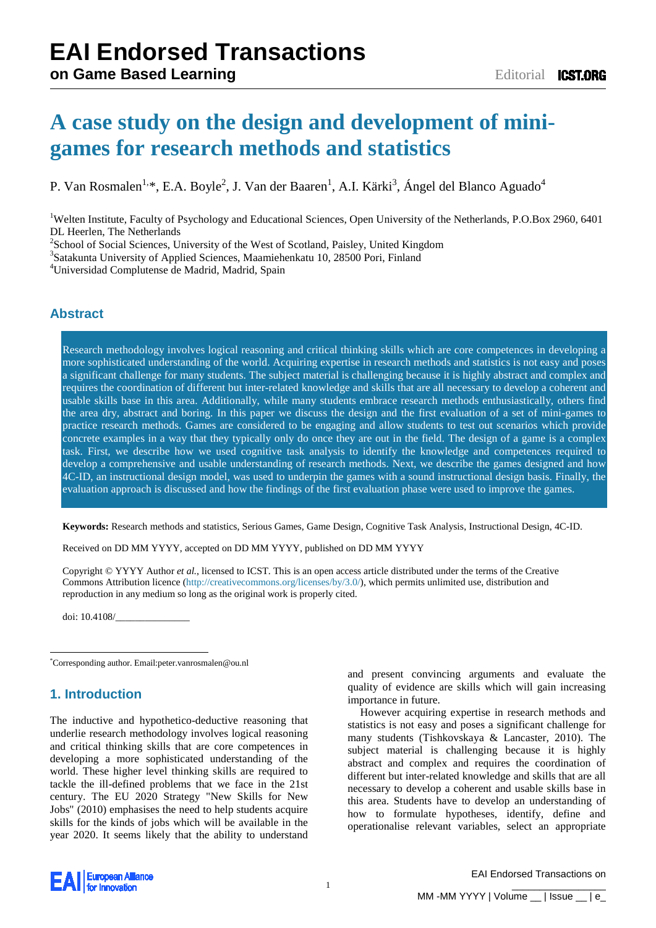# **A case study on the design and development of minigames for research methods and statistics**

P. Van Rosmalen<sup>1[,\\*](#page-1-0)</sup>, E.A. Boyle<sup>2</sup>, J. Van der Baaren<sup>1</sup>, A.I. Kärki<sup>3</sup>, Ángel del Blanco Aguado<sup>4</sup>

<sup>1</sup>Welten Institute, Faculty of Psychology and Educational Sciences, Open University of the Netherlands, P.O.Box 2960, 6401 DL Heerlen, The Netherlands

 $^{2}$ School of Social Sciences, University of the West of Scotland, Paisley, United Kingdom  $^{3}$ Setelunte University of Applied Sciences, Meanighaplety 10, 28500 Beri, Einland

 $3$ Satakunta University of Applied Sciences, Maamiehenkatu 10, 28500 Pori, Finland

<sup>4</sup>Universidad Complutense de Madrid, Madrid, Spain

# **Abstract**

Research methodology involves logical reasoning and critical thinking skills which are core competences in developing a more sophisticated understanding of the world. Acquiring expertise in research methods and statistics is not easy and poses a significant challenge for many students. The subject material is challenging because it is highly abstract and complex and requires the coordination of different but inter-related knowledge and skills that are all necessary to develop a coherent and usable skills base in this area. Additionally, while many students embrace research methods enthusiastically, others find the area dry, abstract and boring. In this paper we discuss the design and the first evaluation of a set of mini-games to practice research methods. Games are considered to be engaging and allow students to test out scenarios which provide concrete examples in a way that they typically only do once they are out in the field. The design of a game is a complex task. First, we describe how we used cognitive task analysis to identify the knowledge and competences required to develop a comprehensive and usable understanding of research methods. Next, we describe the games designed and how 4C-ID, an instructional design model, was used to underpin the games with a sound instructional design basis. Finally, the evaluation approach is discussed and how the findings of the first evaluation phase were used to improve the games.

**Keywords:** Research methods and statistics, Serious Games, Game Design, Cognitive Task Analysis, Instructional Design, 4C-ID.

Received on DD MM YYYY, accepted on DD MM YYYY, published on DD MM YYYY

Copyright © YYYY Author *et al.*, licensed to ICST. This is an open access article distributed under the terms of the Creative Commons Attribution licence [\(http://creativecommons.org/licenses/by/3.0/\)](http://creativecommons.org/licenses/by/3.0/), which permits unlimited use, distribution and reproduction in any medium so long as the original work is properly cited.

doi: 10.4108/\_\_\_\_\_\_\_\_\_\_\_\_\_\_\_

<span id="page-1-0"></span>\* Corresponding author. Email:peter.vanrosmalen@ou.nl

# **1. Introduction**

-

The inductive and hypothetico-deductive reasoning that underlie research methodology involves logical reasoning and critical thinking skills that are core competences in developing a more sophisticated understanding of the world. These higher level thinking skills are required to tackle the ill-defined problems that we face in the 21st century. The EU 2020 Strategy "New Skills for New Jobs" (2010) emphasises the need to help students acquire skills for the kinds of jobs which will be available in the year 2020. It seems likely that the ability to understand and present convincing arguments and evaluate the quality of evidence are skills which will gain increasing importance in future.

However acquiring expertise in research methods and statistics is not easy and poses a significant challenge for many students (Tishkovskaya & Lancaster, 2010). The subject material is challenging because it is highly abstract and complex and requires the coordination of different but inter-related knowledge and skills that are all necessary to develop a coherent and usable skills base in this area. Students have to develop an understanding of how to formulate hypotheses, identify, define and operationalise relevant variables, select an appropriate



\_\_\_\_\_\_\_\_\_\_\_\_\_\_\_\_\_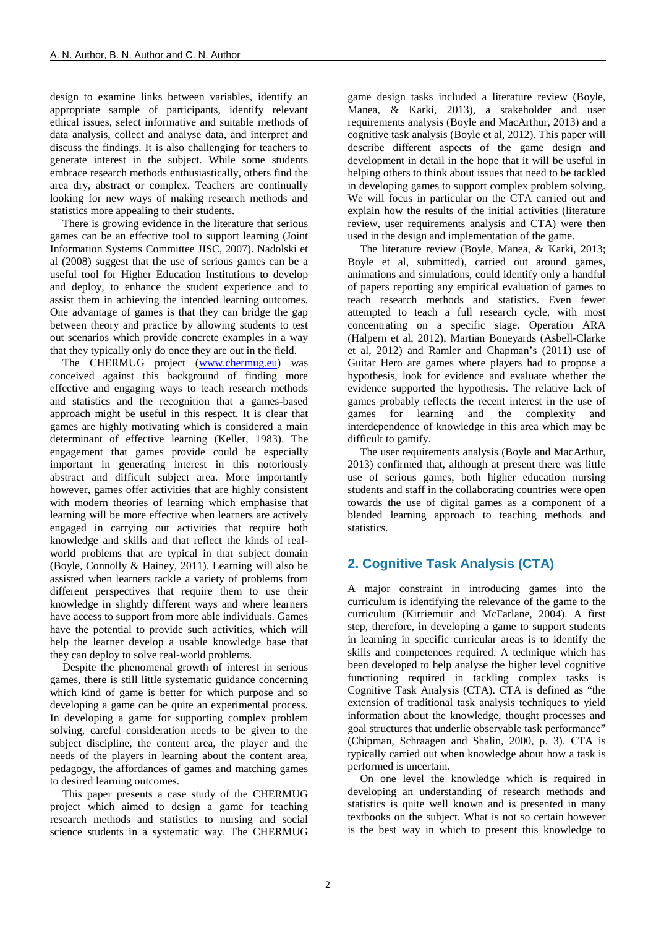design to examine links between variables, identify an appropriate sample of participants, identify relevant ethical issues, select informative and suitable methods of data analysis, collect and analyse data, and interpret and discuss the findings. It is also challenging for teachers to generate interest in the subject. While some students embrace research methods enthusiastically, others find the area dry, abstract or complex. Teachers are continually looking for new ways of making research methods and statistics more appealing to their students.

There is growing evidence in the literature that serious games can be an effective tool to support learning (Joint Information Systems Committee JISC, 2007). Nadolski et al (2008) suggest that the use of serious games can be a useful tool for Higher Education Institutions to develop and deploy, to enhance the student experience and to assist them in achieving the intended learning outcomes. One advantage of games is that they can bridge the gap between theory and practice by allowing students to test out scenarios which provide concrete examples in a way that they typically only do once they are out in the field.

The CHERMUG project [\(www.chermug.eu\)](http://www.chermug.eu/) was conceived against this background of finding more effective and engaging ways to teach research methods and statistics and the recognition that a games-based approach might be useful in this respect. It is clear that games are highly motivating which is considered a main determinant of effective learning (Keller, 1983). The engagement that games provide could be especially important in generating interest in this notoriously abstract and difficult subject area. More importantly however, games offer activities that are highly consistent with modern theories of learning which emphasise that learning will be more effective when learners are actively engaged in carrying out activities that require both knowledge and skills and that reflect the kinds of realworld problems that are typical in that subject domain (Boyle, Connolly & Hainey, 2011). Learning will also be assisted when learners tackle a variety of problems from different perspectives that require them to use their knowledge in slightly different ways and where learners have access to support from more able individuals. Games have the potential to provide such activities, which will help the learner develop a usable knowledge base that they can deploy to solve real-world problems.

Despite the phenomenal growth of interest in serious games, there is still little systematic guidance concerning which kind of game is better for which purpose and so developing a game can be quite an experimental process. In developing a game for supporting complex problem solving, careful consideration needs to be given to the subject discipline, the content area, the player and the needs of the players in learning about the content area, pedagogy, the affordances of games and matching games to desired learning outcomes.

This paper presents a case study of the CHERMUG project which aimed to design a game for teaching research methods and statistics to nursing and social science students in a systematic way. The CHERMUG game design tasks included a literature review (Boyle, Manea, & Karki, 2013), a stakeholder and user requirements analysis (Boyle and MacArthur, 2013) and a cognitive task analysis (Boyle et al, 2012). This paper will describe different aspects of the game design and development in detail in the hope that it will be useful in helping others to think about issues that need to be tackled in developing games to support complex problem solving. We will focus in particular on the CTA carried out and explain how the results of the initial activities (literature review, user requirements analysis and CTA) were then used in the design and implementation of the game.

The literature review (Boyle, Manea, & Karki, 2013; Boyle et al, submitted), carried out around games, animations and simulations, could identify only a handful of papers reporting any empirical evaluation of games to teach research methods and statistics. Even fewer attempted to teach a full research cycle, with most concentrating on a specific stage. Operation ARA (Halpern et al, 2012), Martian Boneyards (Asbell-Clarke et al, 2012) and Ramler and Chapman's (2011) use of Guitar Hero are games where players had to propose a hypothesis, look for evidence and evaluate whether the evidence supported the hypothesis. The relative lack of games probably reflects the recent interest in the use of games for learning and the complexity and interdependence of knowledge in this area which may be difficult to gamify.

The user requirements analysis (Boyle and MacArthur, 2013) confirmed that, although at present there was little use of serious games, both higher education nursing students and staff in the collaborating countries were open towards the use of digital games as a component of a blended learning approach to teaching methods and statistics.

# **2. Cognitive Task Analysis (CTA)**

A major constraint in introducing games into the curriculum is identifying the relevance of the game to the curriculum (Kirriemuir and McFarlane, 2004). A first step, therefore, in developing a game to support students in learning in specific curricular areas is to identify the skills and competences required. A technique which has been developed to help analyse the higher level cognitive functioning required in tackling complex tasks is Cognitive Task Analysis (CTA). CTA is defined as "the extension of traditional task analysis techniques to yield information about the knowledge, thought processes and goal structures that underlie observable task performance" (Chipman, Schraagen and Shalin, 2000, p. 3). CTA is typically carried out when knowledge about how a task is performed is uncertain.

On one level the knowledge which is required in developing an understanding of research methods and statistics is quite well known and is presented in many textbooks on the subject. What is not so certain however is the best way in which to present this knowledge to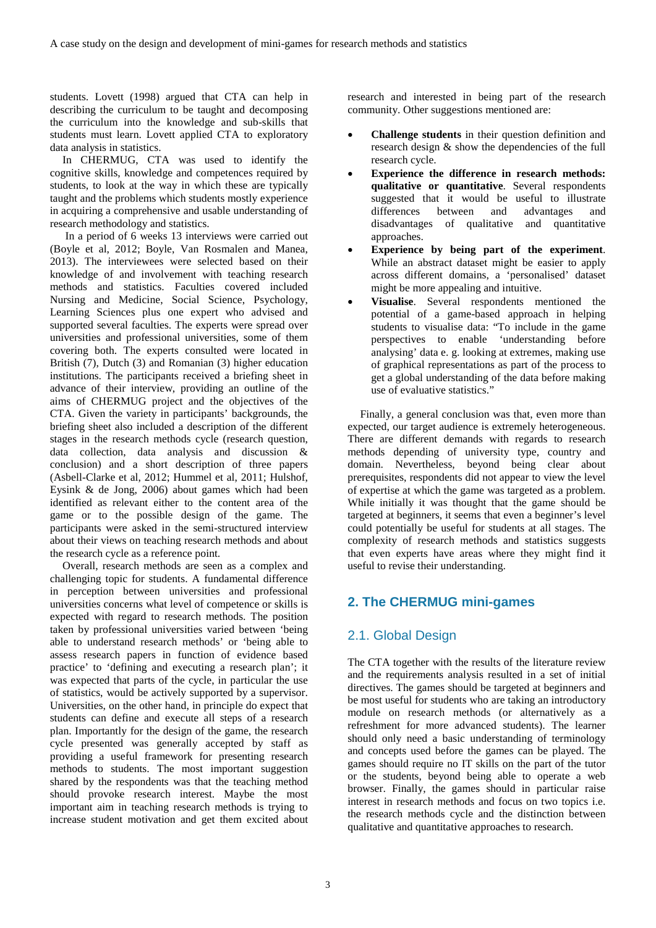students. Lovett (1998) argued that CTA can help in describing the curriculum to be taught and decomposing the curriculum into the knowledge and sub-skills that students must learn. Lovett applied CTA to exploratory data analysis in statistics.

In CHERMUG, CTA was used to identify the cognitive skills, knowledge and competences required by students, to look at the way in which these are typically taught and the problems which students mostly experience in acquiring a comprehensive and usable understanding of research methodology and statistics.

In a period of 6 weeks 13 interviews were carried out (Boyle et al, 2012; Boyle, Van Rosmalen and Manea, 2013). The interviewees were selected based on their knowledge of and involvement with teaching research methods and statistics. Faculties covered included Nursing and Medicine, Social Science, Psychology, Learning Sciences plus one expert who advised and supported several faculties. The experts were spread over universities and professional universities, some of them covering both. The experts consulted were located in British (7), Dutch (3) and Romanian (3) higher education institutions. The participants received a briefing sheet in advance of their interview, providing an outline of the aims of CHERMUG project and the objectives of the CTA. Given the variety in participants' backgrounds, the briefing sheet also included a description of the different stages in the research methods cycle (research question, data collection, data analysis and discussion & conclusion) and a short description of three papers (Asbell-Clarke et al, 2012; Hummel et al, 2011; Hulshof, Eysink & de Jong, 2006) about games which had been identified as relevant either to the content area of the game or to the possible design of the game. The participants were asked in the semi-structured interview about their views on teaching research methods and about the research cycle as a reference point.

Overall, research methods are seen as a complex and challenging topic for students. A fundamental difference in perception between universities and professional universities concerns what level of competence or skills is expected with regard to research methods. The position taken by professional universities varied between 'being able to understand research methods' or 'being able to assess research papers in function of evidence based practice' to 'defining and executing a research plan'; it was expected that parts of the cycle, in particular the use of statistics, would be actively supported by a supervisor. Universities, on the other hand, in principle do expect that students can define and execute all steps of a research plan. Importantly for the design of the game, the research cycle presented was generally accepted by staff as providing a useful framework for presenting research methods to students. The most important suggestion shared by the respondents was that the teaching method should provoke research interest. Maybe the most important aim in teaching research methods is trying to increase student motivation and get them excited about research and interested in being part of the research community. Other suggestions mentioned are:

- **Challenge students** in their question definition and research design & show the dependencies of the full research cycle.
- **Experience the difference in research methods: qualitative or quantitative**. Several respondents suggested that it would be useful to illustrate differences between and advantages and disadvantages of qualitative and quantitative approaches.
- **Experience by being part of the experiment.** While an abstract dataset might be easier to apply across different domains, a 'personalised' dataset might be more appealing and intuitive.
- **Visualise**. Several respondents mentioned the potential of a game-based approach in helping students to visualise data: "To include in the game perspectives to enable 'understanding before analysing' data e. g. looking at extremes, making use of graphical representations as part of the process to get a global understanding of the data before making use of evaluative statistics."

Finally, a general conclusion was that, even more than expected, our target audience is extremely heterogeneous. There are different demands with regards to research methods depending of university type, country and domain. Nevertheless, beyond being clear about prerequisites, respondents did not appear to view the level of expertise at which the game was targeted as a problem. While initially it was thought that the game should be targeted at beginners, it seems that even a beginner's level could potentially be useful for students at all stages. The complexity of research methods and statistics suggests that even experts have areas where they might find it useful to revise their understanding.

# **2. The CHERMUG mini-games**

# 2.1. Global Design

The CTA together with the results of the literature review and the requirements analysis resulted in a set of initial directives. The games should be targeted at beginners and be most useful for students who are taking an introductory module on research methods (or alternatively as a refreshment for more advanced students). The learner should only need a basic understanding of terminology and concepts used before the games can be played. The games should require no IT skills on the part of the tutor or the students, beyond being able to operate a web browser. Finally, the games should in particular raise interest in research methods and focus on two topics i.e. the research methods cycle and the distinction between qualitative and quantitative approaches to research.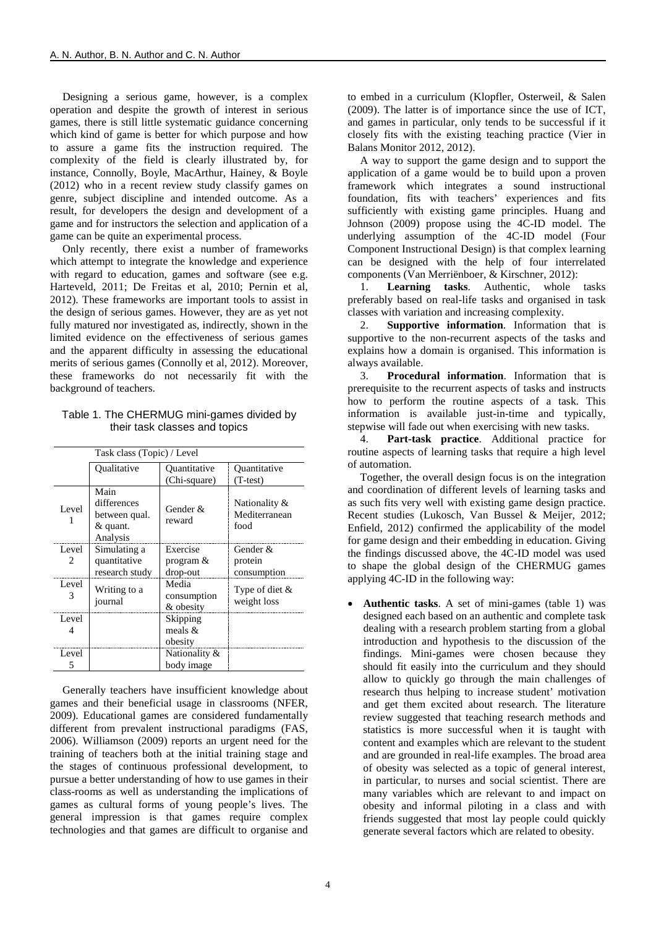Designing a serious game, however, is a complex operation and despite the growth of interest in serious games, there is still little systematic guidance concerning which kind of game is better for which purpose and how to assure a game fits the instruction required. The complexity of the field is clearly illustrated by, for instance, Connolly, Boyle, MacArthur, Hainey, & Boyle (2012) who in a recent review study classify games on genre, subject discipline and intended outcome. As a result, for developers the design and development of a game and for instructors the selection and application of a game can be quite an experimental process.

Only recently, there exist a number of frameworks which attempt to integrate the knowledge and experience with regard to education, games and software (see e.g. Harteveld, 2011; De Freitas et al, 2010; Pernin et al, 2012). These frameworks are important tools to assist in the design of serious games. However, they are as yet not fully matured nor investigated as, indirectly, shown in the limited evidence on the effectiveness of serious games and the apparent difficulty in assessing the educational merits of serious games (Connolly et al, 2012). Moreover, these frameworks do not necessarily fit with the background of teachers.

### Table 1. The CHERMUG mini-games divided by their task classes and topics

| Task class (Topic) / Level             |                                                              |                                      |                                        |
|----------------------------------------|--------------------------------------------------------------|--------------------------------------|----------------------------------------|
|                                        | Oualitative                                                  | Ouantitative<br>(Chi-square)         | Ouantitative<br>$(T-test)$             |
| Level                                  | Main<br>differences<br>between qual.<br>& quant.<br>Analysis | Gender &<br>reward                   | Nationality &<br>Mediterranean<br>food |
| Level<br>$\mathfrak{D}_{\mathfrak{p}}$ | Simulating a<br>quantitative<br>research study               | Exercise<br>program $\&$<br>drop-out | Gender &<br>protein<br>consumption     |
| Level<br>3                             | Writing to a<br>journal                                      | Media<br>consumption<br>& obesity    | Type of diet $\&$<br>weight loss       |
| Level<br>4                             |                                                              | Skipping<br>meals $\&$<br>obesity    |                                        |
| Level<br>5                             |                                                              | Nationality &<br>body image          |                                        |

Generally teachers have insufficient knowledge about games and their beneficial usage in classrooms (NFER, 2009). Educational games are considered fundamentally different from prevalent instructional paradigms (FAS, 2006). Williamson (2009) reports an urgent need for the training of teachers both at the initial training stage and the stages of continuous professional development, to pursue a better understanding of how to use games in their class-rooms as well as understanding the implications of games as cultural forms of young people's lives. The general impression is that games require complex technologies and that games are difficult to organise and

to embed in a curriculum (Klopfler, Osterweil, & Salen (2009). The latter is of importance since the use of ICT, and games in particular, only tends to be successful if it closely fits with the existing teaching practice (Vier in Balans Monitor 2012, 2012).

A way to support the game design and to support the application of a game would be to build upon a proven framework which integrates a sound instructional foundation, fits with teachers' experiences and fits sufficiently with existing game principles. Huang and Johnson (2009) propose using the 4C-ID model. The underlying assumption of the 4C-ID model (Four Component Instructional Design) is that complex learning can be designed with the help of four interrelated components (Van Merriënboer, & Kirschner, 2012):

1. **Learning tasks**. Authentic, whole tasks preferably based on real-life tasks and organised in task classes with variation and increasing complexity.

2. **Supportive information**. Information that is supportive to the non-recurrent aspects of the tasks and explains how a domain is organised. This information is always available.

3. **Procedural information**. Information that is prerequisite to the recurrent aspects of tasks and instructs how to perform the routine aspects of a task. This information is available just-in-time and typically, stepwise will fade out when exercising with new tasks.

4. **Part-task practice**. Additional practice for routine aspects of learning tasks that require a high level of automation.

Together, the overall design focus is on the integration and coordination of different levels of learning tasks and as such fits very well with existing game design practice. Recent studies (Lukosch, Van Bussel & Meijer, 2012; Enfield, 2012) confirmed the applicability of the model for game design and their embedding in education. Giving the findings discussed above, the 4C-ID model was used to shape the global design of the CHERMUG games applying 4C-ID in the following way:

• **Authentic tasks**. A set of mini-games (table 1) was designed each based on an authentic and complete task dealing with a research problem starting from a global introduction and hypothesis to the discussion of the findings. Mini-games were chosen because they should fit easily into the curriculum and they should allow to quickly go through the main challenges of research thus helping to increase student' motivation and get them excited about research. The literature review suggested that teaching research methods and statistics is more successful when it is taught with content and examples which are relevant to the student and are grounded in real-life examples. The broad area of obesity was selected as a topic of general interest, in particular, to nurses and social scientist. There are many variables which are relevant to and impact on obesity and informal piloting in a class and with friends suggested that most lay people could quickly generate several factors which are related to obesity.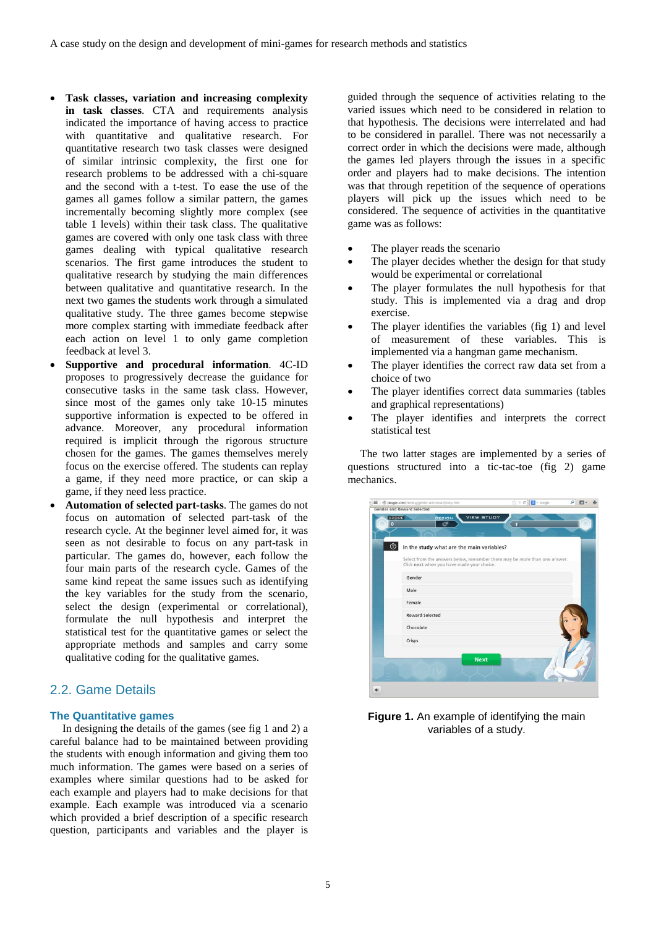- **Task classes, variation and increasing complexity in task classes**. CTA and requirements analysis indicated the importance of having access to practice with quantitative and qualitative research. For quantitative research two task classes were designed of similar intrinsic complexity, the first one for research problems to be addressed with a chi-square and the second with a t-test. To ease the use of the games all games follow a similar pattern, the games incrementally becoming slightly more complex (see table 1 levels) within their task class. The qualitative games are covered with only one task class with three games dealing with typical qualitative research scenarios. The first game introduces the student to qualitative research by studying the main differences between qualitative and quantitative research. In the next two games the students work through a simulated qualitative study. The three games become stepwise more complex starting with immediate feedback after each action on level 1 to only game completion feedback at level 3.
- **Supportive and procedural information**. 4C-ID proposes to progressively decrease the guidance for consecutive tasks in the same task class. However, since most of the games only take 10-15 minutes supportive information is expected to be offered in advance. Moreover, any procedural information required is implicit through the rigorous structure chosen for the games. The games themselves merely focus on the exercise offered. The students can replay a game, if they need more practice, or can skip a game, if they need less practice.
- **Automation of selected part-tasks**. The games do not focus on automation of selected part-task of the research cycle. At the beginner level aimed for, it was seen as not desirable to focus on any part-task in particular. The games do, however, each follow the four main parts of the research cycle. Games of the same kind repeat the same issues such as identifying the key variables for the study from the scenario, select the design (experimental or correlational), formulate the null hypothesis and interpret the statistical test for the quantitative games or select the appropriate methods and samples and carry some qualitative coding for the qualitative games.

# 2.2. Game Details

### **The Quantitative games**

In designing the details of the games (see fig 1 and 2) a careful balance had to be maintained between providing the students with enough information and giving them too much information. The games were based on a series of examples where similar questions had to be asked for each example and players had to make decisions for that example. Each example was introduced via a scenario which provided a brief description of a specific research question, participants and variables and the player is

guided through the sequence of activities relating to the varied issues which need to be considered in relation to that hypothesis. The decisions were interrelated and had to be considered in parallel. There was not necessarily a correct order in which the decisions were made, although the games led players through the issues in a specific order and players had to make decisions. The intention was that through repetition of the sequence of operations players will pick up the issues which need to be considered. The sequence of activities in the quantitative game was as follows:

- The player reads the scenario
- The player decides whether the design for that study would be experimental or correlational
- The player formulates the null hypothesis for that study. This is implemented via a drag and drop exercise.
- The player identifies the variables (fig 1) and level of measurement of these variables. This is implemented via a hangman game mechanism.
- The player identifies the correct raw data set from a choice of two
- The player identifies correct data summaries (tables and graphical representations)
- The player identifies and interprets the correct statistical test

The two latter stages are implemented by a series of questions structured into a tic-tac-toe (fig 2) game mechanics.



**Figure 1.** An example of identifying the main variables of a study.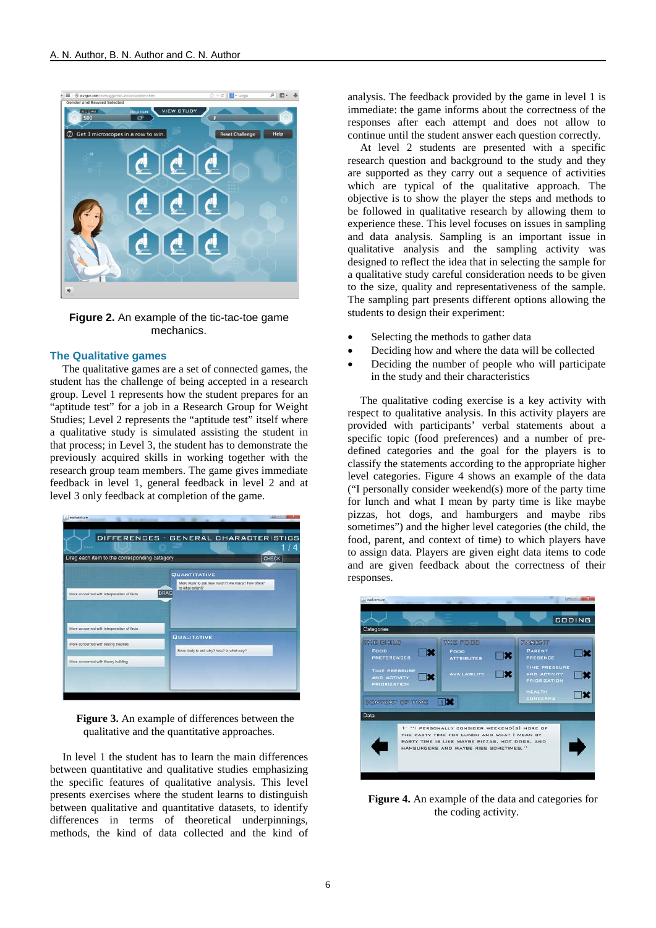

**Figure 2.** An example of the tic-tac-toe game mechanics.

### **The Qualitative games**

The qualitative games are a set of connected games, the student has the challenge of being accepted in a research group. Level 1 represents how the student prepares for an "aptitude test" for a job in a Research Group for Weight Studies; Level 2 represents the "aptitude test" itself where a qualitative study is simulated assisting the student in that process; in Level 3, the student has to demonstrate the previously acquired skills in working together with the research group team members. The game gives immediate feedback in level 1, general feedback in level 2 and at level 3 only feedback at completion of the game.



**Figure 3.** An example of differences between the qualitative and the quantitative approaches.

In level 1 the student has to learn the main differences between quantitative and qualitative studies emphasizing the specific features of qualitative analysis. This level presents exercises where the student learns to distinguish between qualitative and quantitative datasets, to identify differences in terms of theoretical underpinnings, methods, the kind of data collected and the kind of analysis. The feedback provided by the game in level 1 is immediate: the game informs about the correctness of the responses after each attempt and does not allow to continue until the student answer each question correctly.

At level 2 students are presented with a specific research question and background to the study and they are supported as they carry out a sequence of activities which are typical of the qualitative approach. The objective is to show the player the steps and methods to be followed in qualitative research by allowing them to experience these. This level focuses on issues in sampling and data analysis. Sampling is an important issue in qualitative analysis and the sampling activity was designed to reflect the idea that in selecting the sample for a qualitative study careful consideration needs to be given to the size, quality and representativeness of the sample. The sampling part presents different options allowing the students to design their experiment:

- Selecting the methods to gather data
- Deciding how and where the data will be collected
- Deciding the number of people who will participate in the study and their characteristics

The qualitative coding exercise is a key activity with respect to qualitative analysis. In this activity players are provided with participants' verbal statements about a specific topic (food preferences) and a number of predefined categories and the goal for the players is to classify the statements according to the appropriate higher level categories. Figure 4 shows an example of the data ("I personally consider weekend(s) more of the party time for lunch and what I mean by party time is like maybe pizzas, hot dogs, and hamburgers and maybe ribs sometimes") and the higher level categories (the child, the food, parent, and context of time) to which players have to assign data. Players are given eight data items to code and are given feedback about the correctness of their responses.



**Figure 4.** An example of the data and categories for the coding activity.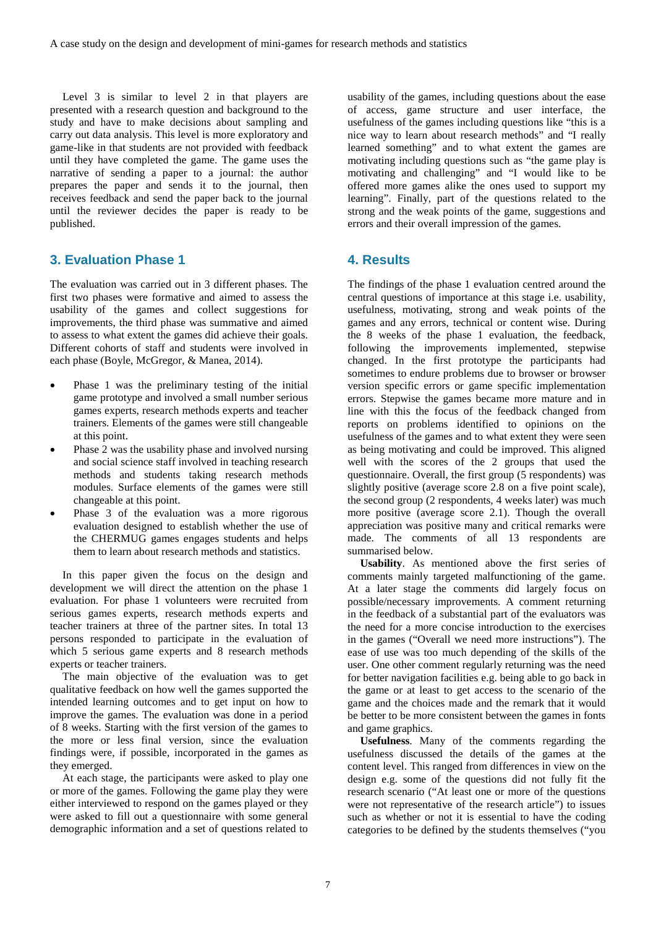Level 3 is similar to level 2 in that players are presented with a research question and background to the study and have to make decisions about sampling and carry out data analysis. This level is more exploratory and game-like in that students are not provided with feedback until they have completed the game. The game uses the narrative of sending a paper to a journal: the author prepares the paper and sends it to the journal, then receives feedback and send the paper back to the journal until the reviewer decides the paper is ready to be published.

# **3. Evaluation Phase 1**

The evaluation was carried out in 3 different phases. The first two phases were formative and aimed to assess the usability of the games and collect suggestions for improvements, the third phase was summative and aimed to assess to what extent the games did achieve their goals. Different cohorts of staff and students were involved in each phase (Boyle, McGregor, & Manea, 2014).

- Phase 1 was the preliminary testing of the initial game prototype and involved a small number serious games experts, research methods experts and teacher trainers. Elements of the games were still changeable at this point.
- Phase 2 was the usability phase and involved nursing and social science staff involved in teaching research methods and students taking research methods modules. Surface elements of the games were still changeable at this point.
- Phase 3 of the evaluation was a more rigorous evaluation designed to establish whether the use of the CHERMUG games engages students and helps them to learn about research methods and statistics.

In this paper given the focus on the design and development we will direct the attention on the phase 1 evaluation. For phase 1 volunteers were recruited from serious games experts, research methods experts and teacher trainers at three of the partner sites. In total 13 persons responded to participate in the evaluation of which 5 serious game experts and 8 research methods experts or teacher trainers.

The main objective of the evaluation was to get qualitative feedback on how well the games supported the intended learning outcomes and to get input on how to improve the games. The evaluation was done in a period of 8 weeks. Starting with the first version of the games to the more or less final version, since the evaluation findings were, if possible, incorporated in the games as they emerged.

At each stage, the participants were asked to play one or more of the games. Following the game play they were either interviewed to respond on the games played or they were asked to fill out a questionnaire with some general demographic information and a set of questions related to

usability of the games, including questions about the ease of access, game structure and user interface, the usefulness of the games including questions like "this is a nice way to learn about research methods" and "I really learned something" and to what extent the games are motivating including questions such as "the game play is motivating and challenging" and "I would like to be offered more games alike the ones used to support my learning". Finally, part of the questions related to the strong and the weak points of the game, suggestions and errors and their overall impression of the games.

# **4. Results**

The findings of the phase 1 evaluation centred around the central questions of importance at this stage i.e. usability, usefulness, motivating, strong and weak points of the games and any errors, technical or content wise. During the 8 weeks of the phase 1 evaluation, the feedback, following the improvements implemented, stepwise changed. In the first prototype the participants had sometimes to endure problems due to browser or browser version specific errors or game specific implementation errors. Stepwise the games became more mature and in line with this the focus of the feedback changed from reports on problems identified to opinions on the usefulness of the games and to what extent they were seen as being motivating and could be improved. This aligned well with the scores of the 2 groups that used the questionnaire. Overall, the first group (5 respondents) was slightly positive (average score 2.8 on a five point scale), the second group (2 respondents, 4 weeks later) was much more positive (average score 2.1). Though the overall appreciation was positive many and critical remarks were made. The comments of all 13 respondents are summarised below.

**Usability**. As mentioned above the first series of comments mainly targeted malfunctioning of the game. At a later stage the comments did largely focus on possible/necessary improvements. A comment returning in the feedback of a substantial part of the evaluators was the need for a more concise introduction to the exercises in the games ("Overall we need more instructions"). The ease of use was too much depending of the skills of the user. One other comment regularly returning was the need for better navigation facilities e.g. being able to go back in the game or at least to get access to the scenario of the game and the choices made and the remark that it would be better to be more consistent between the games in fonts and game graphics.

**Usefulness**. Many of the comments regarding the usefulness discussed the details of the games at the content level. This ranged from differences in view on the design e.g. some of the questions did not fully fit the research scenario ("At least one or more of the questions were not representative of the research article") to issues such as whether or not it is essential to have the coding categories to be defined by the students themselves ("you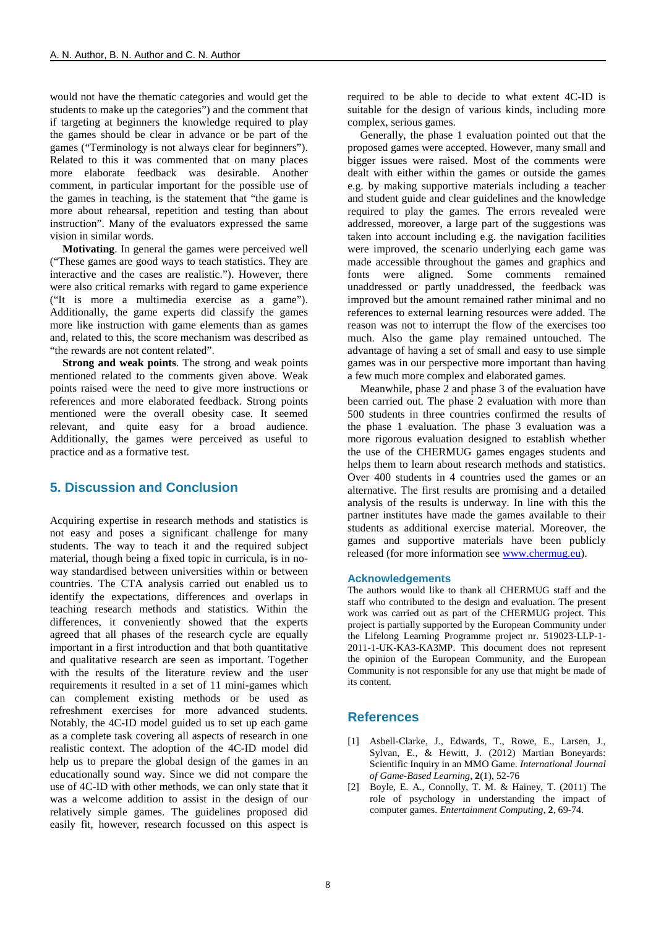would not have the thematic categories and would get the students to make up the categories") and the comment that if targeting at beginners the knowledge required to play the games should be clear in advance or be part of the games ("Terminology is not always clear for beginners"). Related to this it was commented that on many places more elaborate feedback was desirable. Another comment, in particular important for the possible use of the games in teaching, is the statement that "the game is more about rehearsal, repetition and testing than about instruction". Many of the evaluators expressed the same vision in similar words.

**Motivating**. In general the games were perceived well ("These games are good ways to teach statistics. They are interactive and the cases are realistic."). However, there were also critical remarks with regard to game experience ("It is more a multimedia exercise as a game"). Additionally, the game experts did classify the games more like instruction with game elements than as games and, related to this, the score mechanism was described as "the rewards are not content related".

**Strong and weak points**. The strong and weak points mentioned related to the comments given above. Weak points raised were the need to give more instructions or references and more elaborated feedback. Strong points mentioned were the overall obesity case. It seemed relevant, and quite easy for a broad audience. Additionally, the games were perceived as useful to practice and as a formative test.

# **5. Discussion and Conclusion**

Acquiring expertise in research methods and statistics is not easy and poses a significant challenge for many students. The way to teach it and the required subject material, though being a fixed topic in curricula, is in noway standardised between universities within or between countries. The CTA analysis carried out enabled us to identify the expectations, differences and overlaps in teaching research methods and statistics. Within the differences, it conveniently showed that the experts agreed that all phases of the research cycle are equally important in a first introduction and that both quantitative and qualitative research are seen as important. Together with the results of the literature review and the user requirements it resulted in a set of 11 mini-games which can complement existing methods or be used as refreshment exercises for more advanced students. Notably, the 4C-ID model guided us to set up each game as a complete task covering all aspects of research in one realistic context. The adoption of the 4C-ID model did help us to prepare the global design of the games in an educationally sound way. Since we did not compare the use of 4C-ID with other methods, we can only state that it was a welcome addition to assist in the design of our relatively simple games. The guidelines proposed did easily fit, however, research focussed on this aspect is required to be able to decide to what extent 4C-ID is suitable for the design of various kinds, including more complex, serious games.

Generally, the phase 1 evaluation pointed out that the proposed games were accepted. However, many small and bigger issues were raised. Most of the comments were dealt with either within the games or outside the games e.g. by making supportive materials including a teacher and student guide and clear guidelines and the knowledge required to play the games. The errors revealed were addressed, moreover, a large part of the suggestions was taken into account including e.g. the navigation facilities were improved, the scenario underlying each game was made accessible throughout the games and graphics and fonts were aligned. Some comments remained unaddressed or partly unaddressed, the feedback was improved but the amount remained rather minimal and no references to external learning resources were added. The reason was not to interrupt the flow of the exercises too much. Also the game play remained untouched. The advantage of having a set of small and easy to use simple games was in our perspective more important than having a few much more complex and elaborated games.

Meanwhile, phase 2 and phase 3 of the evaluation have been carried out. The phase 2 evaluation with more than 500 students in three countries confirmed the results of the phase 1 evaluation. The phase 3 evaluation was a more rigorous evaluation designed to establish whether the use of the CHERMUG games engages students and helps them to learn about research methods and statistics. Over 400 students in 4 countries used the games or an alternative. The first results are promising and a detailed analysis of the results is underway. In line with this the partner institutes have made the games available to their students as additional exercise material. Moreover, the games and supportive materials have been publicly released (for more information see [www.chermug.eu\)](http://www.chermug.eu/).

### **Acknowledgements**

The authors would like to thank all CHERMUG staff and the staff who contributed to the design and evaluation. The present work was carried out as part of the CHERMUG project. This project is partially supported by the European Community under the Lifelong Learning Programme project nr. 519023-LLP-1- 2011-1-UK-KA3-KA3MP. This document does not represent the opinion of the European Community, and the European Community is not responsible for any use that might be made of its content.

### **References**

- [1] Asbell-Clarke, J., Edwards, T., Rowe, E., Larsen, J., Sylvan, E., & Hewitt, J. (2012) Martian Boneyards: Scientific Inquiry in an MMO Game. *International Journal of Game-Based Learning*, **2**(1), 52-76
- [2] Boyle, E. A., Connolly, T. M. & Hainey, T. (2011) The role of psychology in understanding the impact of computer games. *Entertainment Computing*, **2**, 69-74.